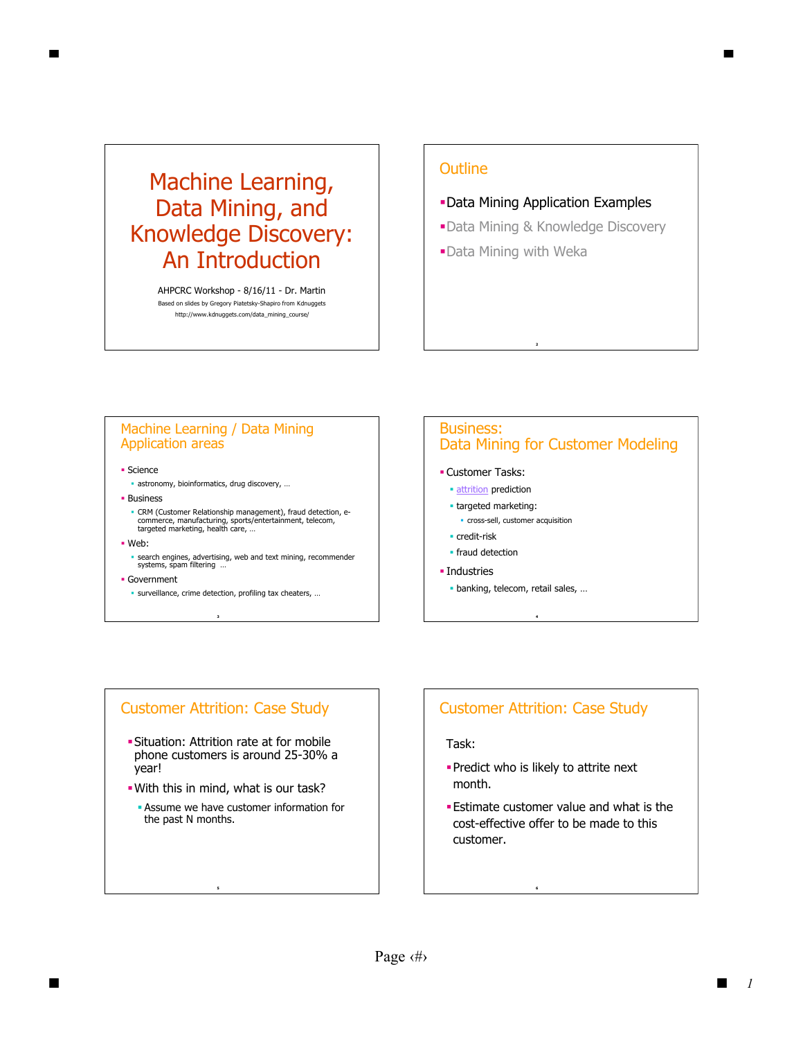# Machine Learning, Data Mining, and Knowledge Discovery: An Introduction

AHPCRC Workshop - 8/16/11 - Dr. Martin Based on slides by Gregory Piatetsky-Shapiro from Kdnuggets http://www.kdnuggets.com/data\_mining\_course/

## **Outline**

- Data Mining Application Examples
- Data Mining & Knowledge Discovery
- Data Mining with Weka

#### Machine Learning / Data Mining Application areas

**Science** 

- astronomy, bioinformatics, drug discovery, …
- **Business**
- CRM (Customer Relationship management), fraud detection, e-commerce, manufacturing, sports/entertainment, telecom, targeted marketing, health care, …
- Web:
- search engines, advertising, web and text mining, recommender systems, spam filtering …
- Government
	- **3** surveillance, crime detection, profiling tax cheaters, …

#### Business: Data Mining for Customer Modeling

- Customer Tasks:
	- **attrition** prediction
	- **targeted marketing:** 
		- cross-sell, customer acquisition
	- credit-risk
	- **·** fraud detection
- **· Industries** 
	- banking, telecom, retail sales, …

**4**

#### Customer Attrition: Case Study

- Situation: Attrition rate at for mobile phone customers is around 25-30% a year!
- With this in mind, what is our task?
	- Assume we have customer information for the past N months.

## Customer Attrition: Case Study

#### Task:

- **Predict who is likely to attrite next** month.
- Estimate customer value and what is the cost-effective offer to be made to this customer.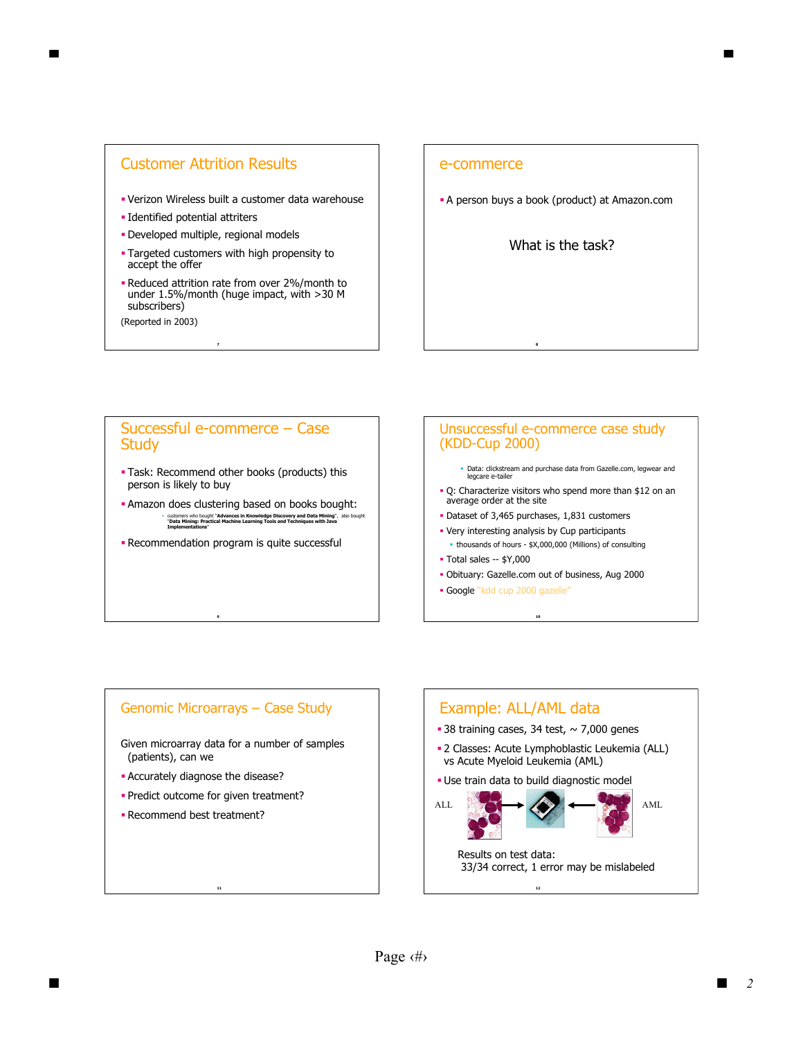## Customer Attrition Results

- Verizon Wireless built a customer data warehouse
- Identified potential attriters
- Developed multiple, regional models
- **Targeted customers with high propensity to** accept the offer
- Reduced attrition rate from over 2%/month to under 1.5%/month (huge impact, with >30 M subscribers)
- (Reported in 2003)

#### e-commerce

**A** person buys a book (product) at Amazon.com

What is the task?

#### Successful e-commerce – Case **Study**

- Task: Recommend other books (products) this person is likely to buy
- Amazon does clustering based on books bought: customers who bought "**Advances in Knowledge Discovery and Data Mining**", also bought "**Data Mining: Practical Machine Learning Tools and Techniques with Java Implementations**"
- **-** Recommendation program is quite successful

**9**

#### Unsuccessful e-commerce case study (KDD-Cup 2000)

- Data: clickstream and purchase data from Gazelle.com, legwear and legcare e-tailer
- Q: Characterize visitors who spend more than \$12 on an average order at the site
- Dataset of 3,465 purchases, 1,831 customers
- Very interesting analysis by Cup participants
- thousands of hours \$X,000,000 (Millions) of consulting Total sales -- \$Y,000
- Obituary: Gazelle.com out of business, Aug 2000

**10**

Google "kdd cup 2000 gazelle"

## Genomic Microarrays – Case Study

Given microarray data for a number of samples (patients), can we

- Accurately diagnose the disease?
- **Predict outcome for given treatment?**

**11**

Recommend best treatment?

# **12** Example: ALL/AML data ■ 38 training cases, 34 test,  $\sim$  7,000 genes 2 Classes: Acute Lymphoblastic Leukemia (ALL) vs Acute Myeloid Leukemia (AML) Use train data to build diagnostic model ALL **AML** AML Results on test data: 33/34 correct, 1 error may be mislabeled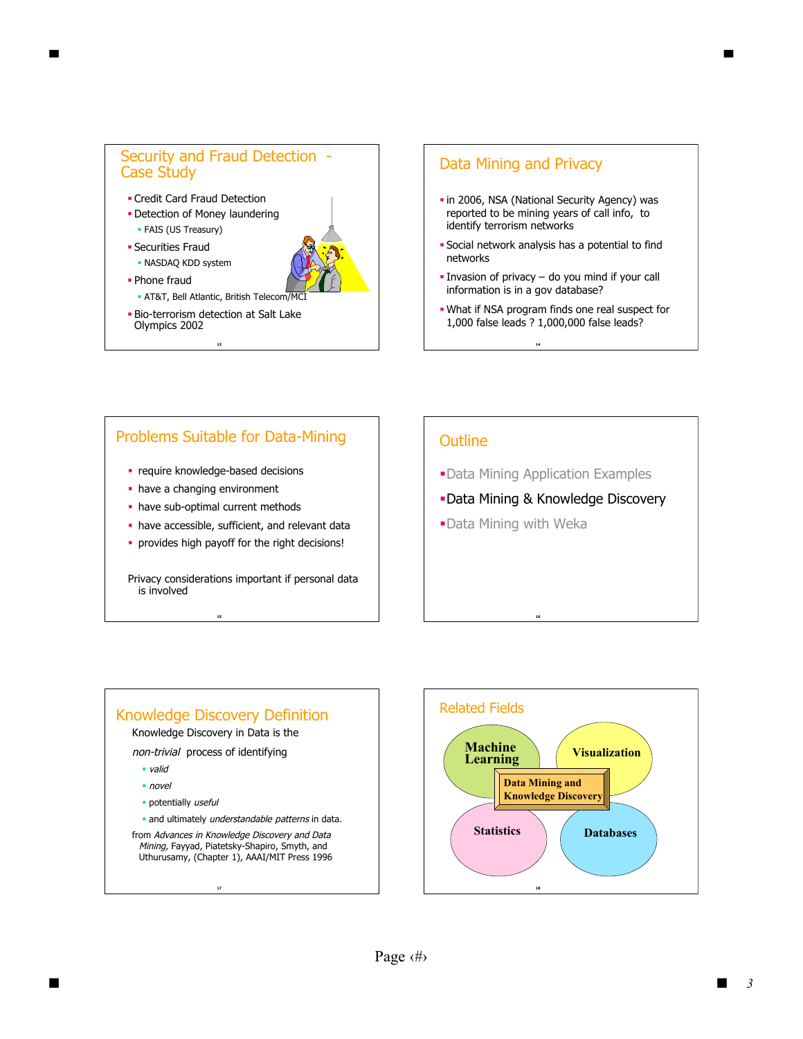# Security and Fraud Detection - Case Study Credit Card Fraud Detection

- **Detection of Money laundering** FAIS (US Treasury)
- **Securities Fraud**
- NASDAQ KDD system
- Phone fraud
- AT&T, Bell Atlantic, British Telecom/MCI
- Bio-terrorism detection at Salt Lake Olympics 2002

## Data Mining and Privacy

- in 2006, NSA (National Security Agency) was reported to be mining years of call info, to identify terrorism networks
- Social network analysis has a potential to find networks
- Invasion of privacy do you mind if your call information is in a gov database?
- What if NSA program finds one real suspect for 1,000 false leads ? 1,000,000 false leads?

**14**

## Problems Suitable for Data-Mining

- **•** require knowledge-based decisions
- have a changing environment
- have sub-optimal current methods
- have accessible, sufficient, and relevant data
- provides high payoff for the right decisions!

Privacy considerations important if personal data is involved

## **Outline**

Data Mining Application Examples

**16**

- Data Mining & Knowledge Discovery
- Data Mining with Weka

## Knowledge Discovery Definition

**15**

Knowledge Discovery in Data is the

non-trivial process of identifying

- valid
- novel
- · potentially useful
- and ultimately understandable patterns in data.

from Advances in Knowledge Discovery and Data Mining, Fayyad, Piatetsky-Shapiro, Smyth, and Uthurusamy, (Chapter 1), AAAI/MIT Press 1996

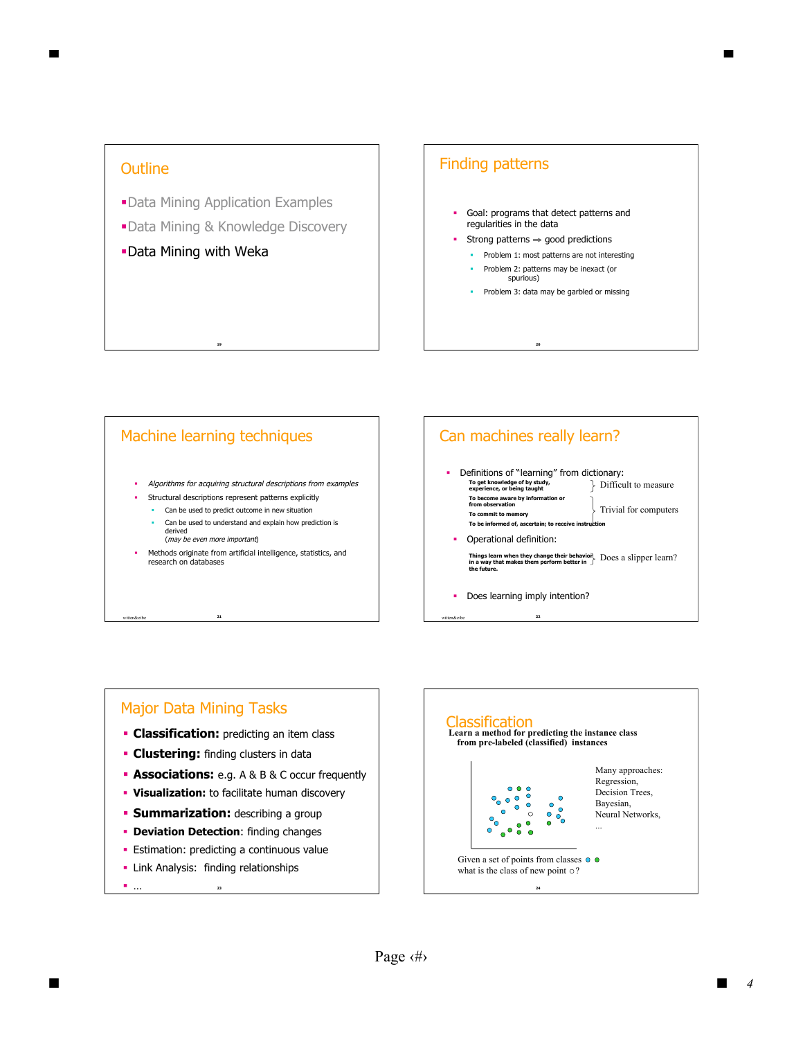## **Outline**

- Data Mining Application Examples
- Data Mining & Knowledge Discovery
- Data Mining with Weka

## Finding patterns

- Goal: programs that detect patterns and regularities in the data
- Strong patterns ⇒ good predictions
	- **Problem 1: most patterns are not interesting**
	- **Problem 2: patterns may be inexact (or** spurious)

**20**

**Problem 3: data may be garbled or missing** 

#### Machine learning techniques

**19**

- Algorithms for acquiring structural descriptions from examples
- Structural descriptions represent patterns explicitly
	- Can be used to predict outcome in new situation

**21**

- Can be used to understand and explain how prediction is derived (may be even more important)
- Methods originate from artificial intelligence, statistics, and research on databases



#### Major Data Mining Tasks

- **Classification:** predicting an item class
- **Clustering:** finding clusters in data
- **Associations:** e.g. A & B & C occur frequently
- **Visualization:** to facilitate human discovery
- **Summarization:** describing a group
- **Deviation Detection:** finding changes
- **Estimation: predicting a continuous value**
- **23 -** Link Analysis: finding relationships

… **<sup>24</sup>**

#### Classification **Learn a method for predicting the instance class from pre-labeled (classified) instances** Many approaches: Regression,  $\frac{000}{00}$ Decision Trees,  $\bullet$  o  $\bullet$  $\bullet$ Bayesian,  $\bullet$  $\bullet$  $\frac{8}{2}$  $\bullet$  $\circ$ Neural Networks,  $\mathbf{e}_{\mathbf{0}}$  $\bullet$ ...  $\ddot{\mathbf{C}}$  $\bullet$ Given a set of points from classes  $\circ$   $\circ$ what is the class of new point  $\circ$ ?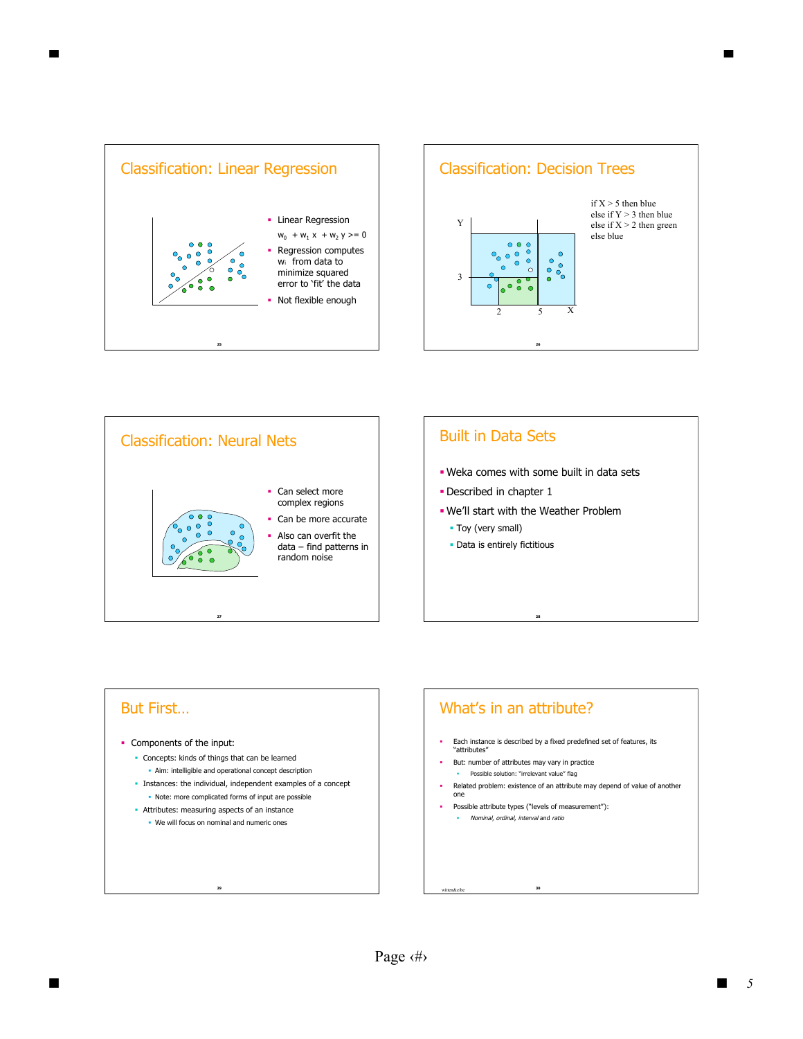





#### But First…

- Components of the input:
	- Concepts: kinds of things that can be learned
		- Aim: intelligible and operational concept description
	- Instances: the individual, independent examples of a concept - Note: more complicated forms of input are possible
	- **Attributes: measuring aspects of an instance** 
		- We will focus on nominal and numeric ones

**29**

## What's in an attribute?

- Each instance is described by a fixed predefined set of features, its "attributes"
- But: number of attributes may vary in practice
- **•** Possible solution: "irrelevant value" flag
- Related problem: existence of an attribute may depend of value of another one
- Possible attribute types ("levels of measurement"): Nominal, ordinal, interval and ratio

**30**

witten&eibe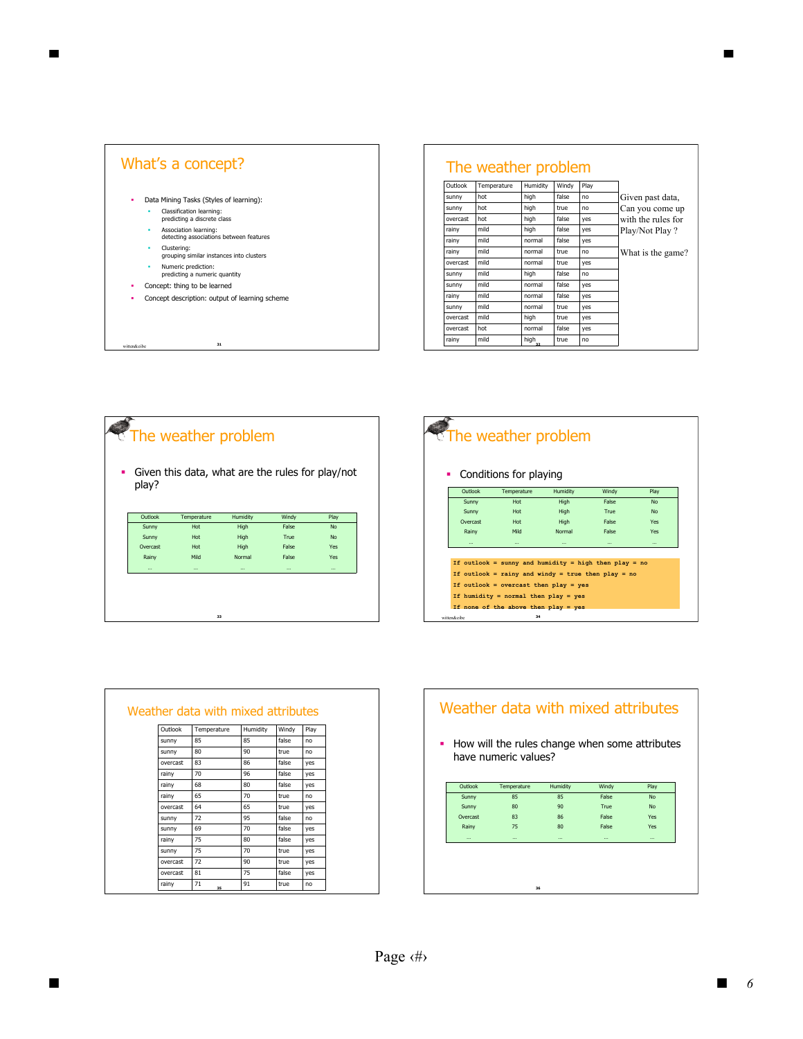

## The weather problem

| Outlook  | Temperature | Humidity | Windy | Play |                    |
|----------|-------------|----------|-------|------|--------------------|
| sunny    | hot         | high     | false | no   | Given past data,   |
| sunny    | hot         | high     | true  | no   | Can you come up    |
| overcast | hot         | high     | false | yes  | with the rules for |
| rainy    | mild        | high     | false | yes  | Play/Not Play?     |
| rainy    | mild        | normal   | false | yes  |                    |
| rainv    | mild        | normal   | true  | no   | What is the game?  |
| overcast | mild        | normal   | true  | yes  |                    |
| sunny    | mild        | high     | false | no   |                    |
| sunny    | mild        | normal   | false | yes  |                    |
| rainv    | mild        | normal   | false | yes  |                    |
| sunny    | mild        | normal   | true  | yes  |                    |
| overcast | mild        | high     | true  | yes  |                    |
| overcast | hot         | normal   | false | yes  |                    |
| rainy    | mild        | high     | true  | no   |                    |

# The weather problem Given this data, what are the rules for play/not play?

| Outlook  | Temperature | Humidity | Windy    | Play      |
|----------|-------------|----------|----------|-----------|
| Sunny    | Hot         | High     | False    | No        |
| Sunny    | Hot         | High     | True     | <b>No</b> |
| Overcast | Hot         | High     | False    | Yes       |
| Rainy    | Mild        | Normal   | False    | Yes       |
| $\cdots$ | $\cdots$    | $\cdots$ | $\cdots$ | $\cdots$  |
|          |             |          |          |           |
|          |             |          |          |           |
|          |             |          |          |           |
|          |             |          |          |           |

#### **34**  $\sqrt{\frac{1}{1}}$  The weather problem • Conditions for playing … … … … … Rainy Mild Normal False Yes Overcast Hot High False Yes Sunny Hot High True No Sunny Hot High False No Outlook Temperature Humidity Windy Play **If outlook = sunny and humidity = high then play = no If outlook = rainy and windy = true then play = no If outlook = overcast then play = yes If humidity = normal then play = yes If none of the above then play = yes** n&eibe

|          | Weather data with mixed attributes |          |       |      |
|----------|------------------------------------|----------|-------|------|
| Outlook  | Temperature                        | Humidity | Windy | Play |
| sunny    | 85                                 | 85       | false | no   |
| sunny    | 80                                 | 90       | true  | no   |
| overcast | 83                                 | 86       | false | ves  |
| rainy    | 70                                 | 96       | false | ves  |
| rainy    | 68                                 | 80       | false | ves  |
| rainy    | 65                                 | 70       | true  | no   |
| overcast | 64                                 | 65       | true  | yes  |
| sunny    | 72                                 | 95       | false | no   |
| sunny    | 69                                 | 70       | false | yes  |
| rainy    | 75                                 | 80       | false | yes  |
| sunny    | 75                                 | 70       | true  | yes  |
| overcast | 72                                 | 90       | true  | yes  |
| overcast | 81                                 | 75       | false | ves  |
| rainy    | 71<br>35                           | 91       | true  | no   |

# Weather data with mixed attributes How will the rules change when some attributes have numeric values? … … … … … Rainy 75 80 False Yes Overcast 83 86 False Yes Sunny 80 90 True No Sunny 85 85 False No Outlook Temperature Humidity Windy Play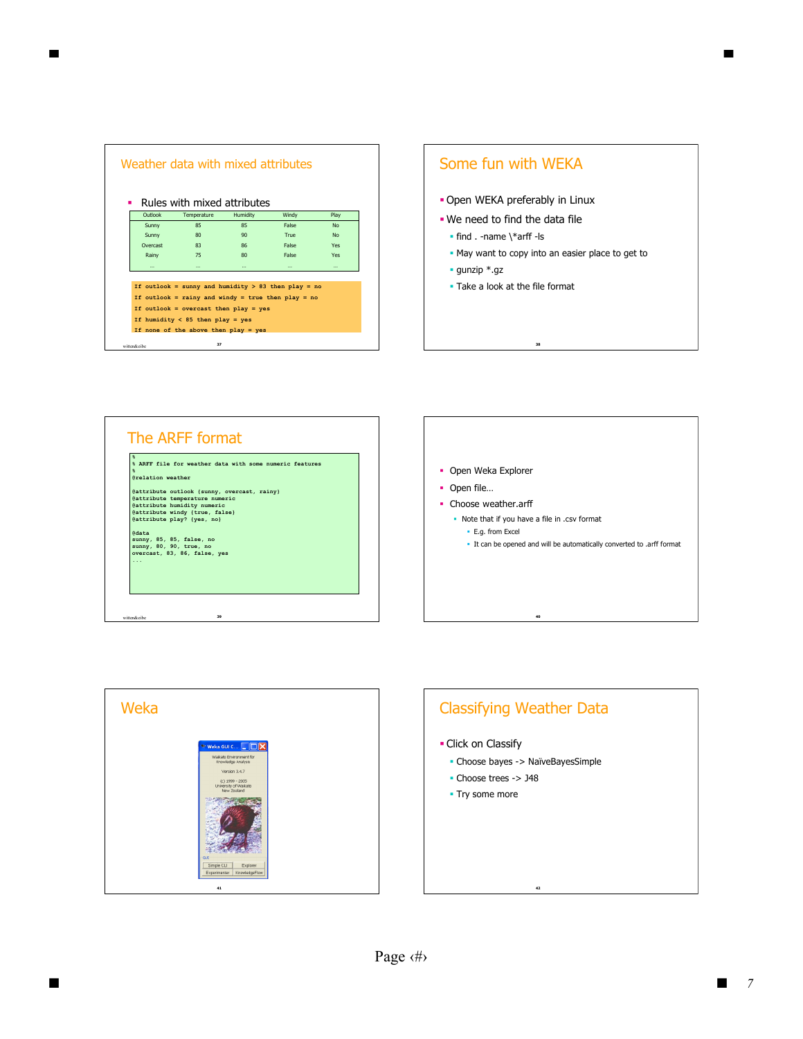|                | Weather data with mixed attributes                                                                        |          |       |           |
|----------------|-----------------------------------------------------------------------------------------------------------|----------|-------|-----------|
|                | Rules with mixed attributes                                                                               |          |       |           |
| Outlook        | Temperature                                                                                               | Humidity | Windy | Play      |
| Sunny          | 85                                                                                                        | 85       | False | <b>No</b> |
| Sunny          | 80                                                                                                        | 90       | True  | <b>No</b> |
| Overcast       | 83                                                                                                        | 86       | False | Yes       |
| Rainv          | 75                                                                                                        | 80       | False | Yes       |
| $\cdots$       | $\cdots$                                                                                                  | $\cdots$ |       | $\cdots$  |
|                | If outlook = sunny and humidity > 83 then play = no<br>If outlook = rainy and windy = true then play = no |          |       |           |
|                | If outlook = overcast then $play = yes$<br>If humidity $< 85$ then play = yes                             |          |       |           |
|                | If none of the above then $play = yes$                                                                    |          |       |           |
| motton Produc- | 37                                                                                                        |          |       |           |